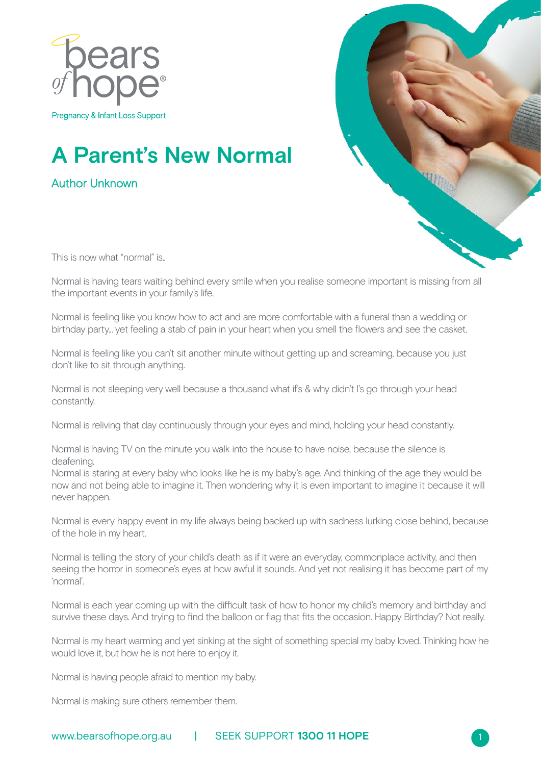

Pregnancy & Infant Loss Support

## **A Parent's New Normal**

Author Unknown



1

This is now what "normal" is..

Normal is having tears waiting behind every smile when you realise someone important is missing from all the important events in your family's life.

Normal is feeling like you know how to act and are more comfortable with a funeral than a wedding or birthday party... yet feeling a stab of pain in your heart when you smell the flowers and see the casket.

Normal is feeling like you can't sit another minute without getting up and screaming, because you just don't like to sit through anything.

Normal is not sleeping very well because a thousand what if's & why didn't I's go through your head constantly.

Normal is reliving that day continuously through your eyes and mind, holding your head constantly.

Normal is having TV on the minute you walk into the house to have noise, because the silence is deafening.

Normal is staring at every baby who looks like he is my baby's age. And thinking of the age they would be now and not being able to imagine it. Then wondering why it is even important to imagine it because it will never happen.

Normal is every happy event in my life always being backed up with sadness lurking close behind, because of the hole in my heart.

Normal is telling the story of your child's death as if it were an everyday, commonplace activity, and then seeing the horror in someone's eyes at how awful it sounds. And yet not realising it has become part of my 'normal'.

Normal is each year coming up with the difficult task of how to honor my child's memory and birthday and survive these days. And trying to find the balloon or flag that fits the occasion. Happy Birthday? Not really.

Normal is my heart warming and yet sinking at the sight of something special my baby loved. Thinking how he would love it, but how he is not here to enjoy it.

Normal is having people afraid to mention my baby.

Normal is making sure others remember them.